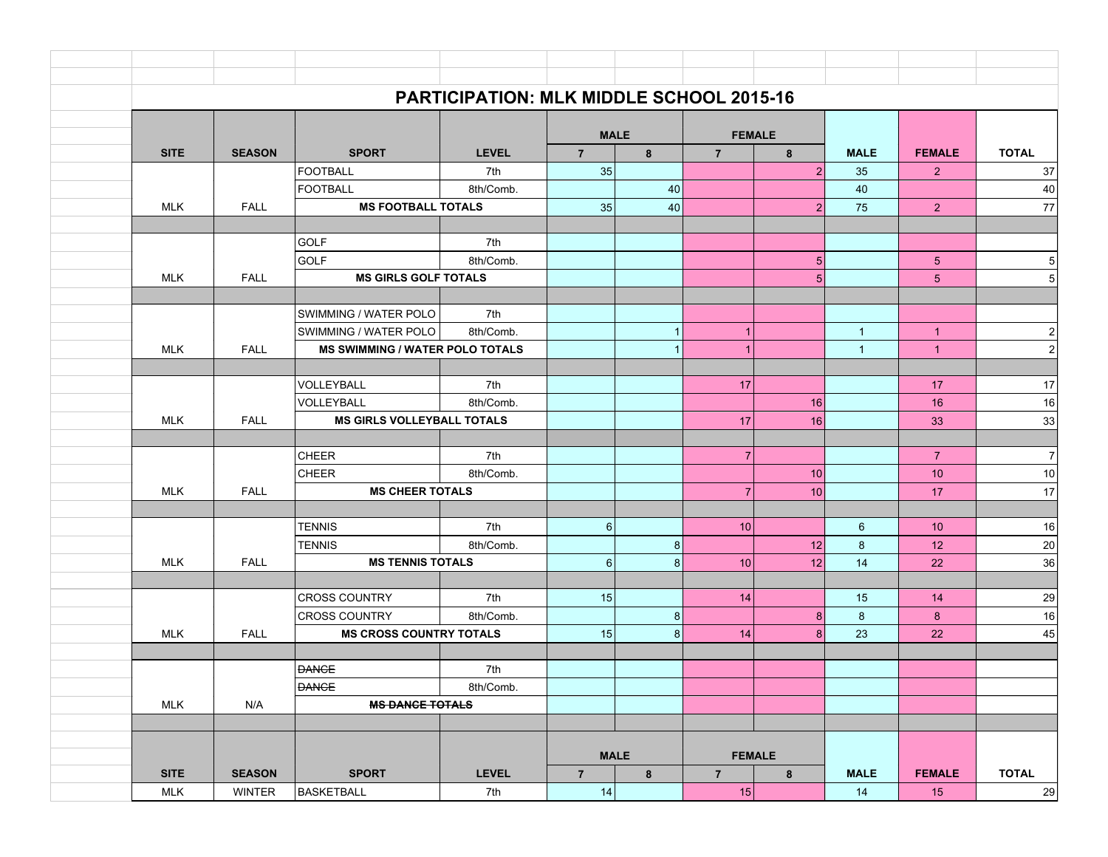|             | <b>PARTICIPATION: MLK MIDDLE SCHOOL 2015-16</b> |                                        |              |                 |                |                |                 |                |                 |                         |
|-------------|-------------------------------------------------|----------------------------------------|--------------|-----------------|----------------|----------------|-----------------|----------------|-----------------|-------------------------|
|             |                                                 |                                        |              |                 | <b>MALE</b>    |                | <b>FEMALE</b>   |                |                 |                         |
| <b>SITE</b> | <b>SEASON</b>                                   | <b>SPORT</b>                           | <b>LEVEL</b> | $\overline{7}$  | 8              | $\overline{7}$ | 8               | <b>MALE</b>    | <b>FEMALE</b>   | <b>TOTAL</b>            |
|             |                                                 | <b>FOOTBALL</b>                        | 7th          | 35              |                |                | 2               | 35             | $\overline{2}$  | 37                      |
|             |                                                 | <b>FOOTBALL</b>                        | 8th/Comb.    |                 | 40             |                |                 | 40             |                 | $40\,$                  |
|             | <b>MLK</b><br><b>FALL</b>                       | <b>MS FOOTBALL TOTALS</b>              |              | 35              | 40             |                | $\overline{2}$  | 75             | 2 <sup>1</sup>  | 77                      |
|             |                                                 |                                        |              |                 |                |                |                 |                |                 |                         |
|             |                                                 | GOLF                                   | 7th          |                 |                |                |                 |                |                 |                         |
|             |                                                 | GOLF                                   | 8th/Comb.    |                 |                |                | 5 <sup>5</sup>  |                | $5\phantom{.0}$ | $\overline{5}$          |
|             | <b>MLK</b><br><b>FALL</b>                       | <b>MS GIRLS GOLF TOTALS</b>            |              |                 |                |                | 5 <sup>1</sup>  |                | $5\overline{)}$ | $\overline{5}$          |
|             |                                                 |                                        |              |                 |                |                |                 |                |                 |                         |
|             |                                                 | SWIMMING / WATER POLO                  | 7th          |                 |                |                |                 |                |                 |                         |
|             |                                                 | SWIMMING / WATER POLO                  | 8th/Comb.    |                 | $\mathbf{1}$   | $\mathbf{1}$   |                 | $\mathbf{1}$   | $\overline{1}$  | $\sqrt{2}$              |
|             | <b>MLK</b><br><b>FALL</b>                       | <b>MS SWIMMING / WATER POLO TOTALS</b> |              |                 | $\overline{1}$ | $\overline{1}$ |                 | $\mathbf{1}$   | $\overline{1}$  | $\mathbf 2$             |
|             |                                                 | VOLLEYBALL                             | 7th          |                 |                | 17             |                 |                | 17              | 17                      |
|             |                                                 | VOLLEYBALL                             | 8th/Comb.    |                 |                |                | 16              |                | 16              | 16                      |
|             | <b>MLK</b><br><b>FALL</b>                       | <b>MS GIRLS VOLLEYBALL TOTALS</b>      |              |                 |                | 17             | 16              |                | 33              | 33                      |
|             |                                                 |                                        |              |                 |                |                |                 |                |                 |                         |
|             |                                                 | <b>CHEER</b>                           | 7th          |                 |                | $\overline{7}$ |                 |                | $\overline{7}$  | $\overline{\mathbf{7}}$ |
|             |                                                 | <b>CHEER</b>                           | 8th/Comb.    |                 |                |                | 10              |                | 10              | $10$                    |
|             | <b>FALL</b><br><b>MLK</b>                       | <b>MS CHEER TOTALS</b>                 |              |                 |                | $\overline{7}$ | 10              |                | 17              | 17                      |
|             |                                                 |                                        |              |                 |                |                |                 |                |                 |                         |
|             |                                                 | <b>TENNIS</b>                          | 7th          | 6               |                | 10             |                 | $6\phantom{1}$ | 10 <sup>°</sup> | 16                      |
|             |                                                 | <b>TENNIS</b>                          | 8th/Comb.    |                 | 8              |                | 12              | 8              | 12              | 20                      |
|             | <b>MLK</b><br><b>FALL</b>                       | <b>MS TENNIS TOTALS</b>                |              | $6 \mid$        | 8              | 10             | 12 <sub>1</sub> | 14             | 22              | 36                      |
|             |                                                 |                                        |              |                 |                |                |                 |                |                 |                         |
|             |                                                 | <b>CROSS COUNTRY</b>                   | 7th          | 15              |                | 14             |                 | 15             | 14              | 29                      |
|             |                                                 | <b>CROSS COUNTRY</b>                   | 8th/Comb.    |                 | 8              |                | 8 <sup>1</sup>  | 8              | 8               | 16                      |
|             | <b>FALL</b><br>MLK                              | <b>MS CROSS COUNTRY TOTALS</b>         |              | 15 <sup>1</sup> | 8              | 14             | 8 <sup>1</sup>  | 23             | 22              | 45                      |
|             |                                                 |                                        |              |                 |                |                |                 |                |                 |                         |
|             |                                                 | <b>DANCE</b>                           | 7th          |                 |                |                |                 |                |                 |                         |
|             |                                                 | <b>DANCE</b>                           | 8th/Comb.    |                 |                |                |                 |                |                 |                         |
|             | <b>MLK</b><br>N/A                               | <b>MS DANCE TOTALS</b>                 |              |                 |                |                |                 |                |                 |                         |
|             |                                                 |                                        |              |                 |                |                |                 |                |                 |                         |
|             |                                                 |                                        |              | <b>MALE</b>     |                | <b>FEMALE</b>  |                 |                |                 |                         |
| <b>SITE</b> | <b>SEASON</b>                                   | <b>SPORT</b><br><b>LEVEL</b>           |              | $\overline{7}$  | 8              | $\overline{7}$ | $\bf{8}$        | <b>MALE</b>    | <b>FEMALE</b>   | <b>TOTAL</b>            |
|             | <b>WINTER</b><br><b>MLK</b>                     | BASKETBALL                             | 7th          | 14              |                | 15             |                 | 14             | 15              | 29                      |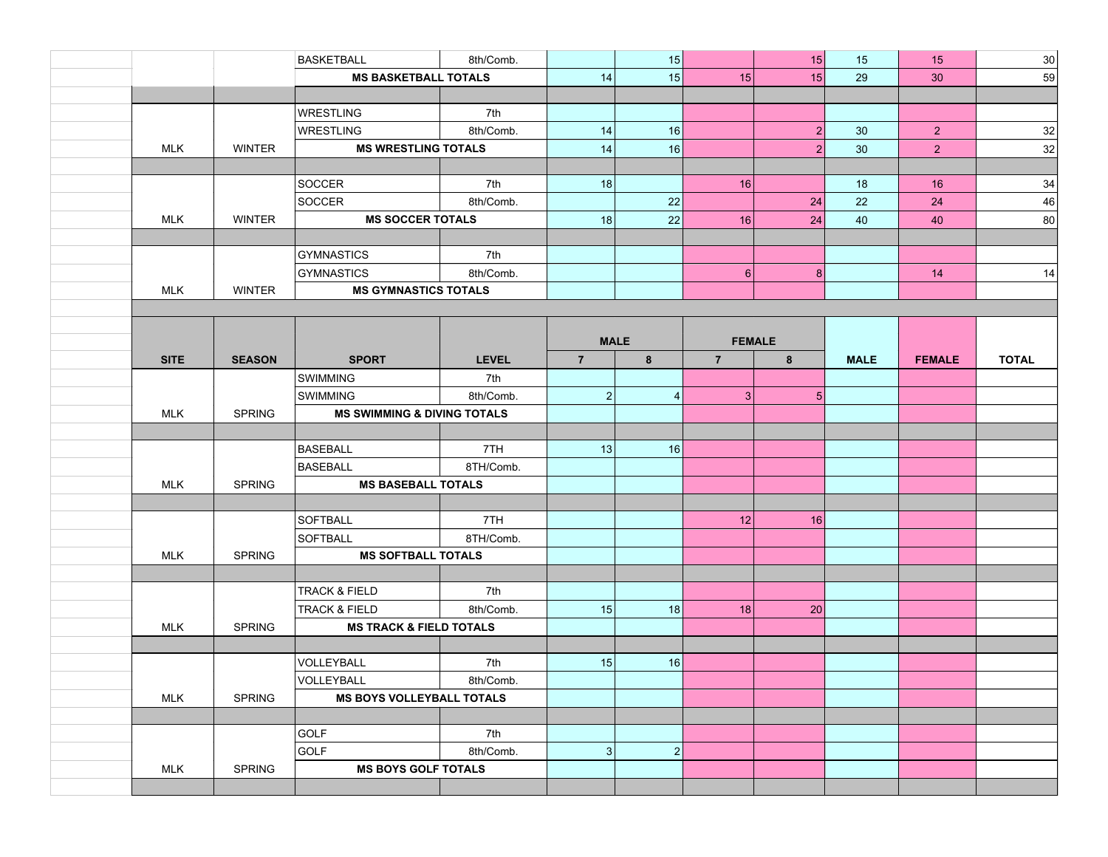|             |               | <b>BASKETBALL</b>                      | 8th/Comb.    |                 | 15               |                | 15             | 15          | 15             | 30           |
|-------------|---------------|----------------------------------------|--------------|-----------------|------------------|----------------|----------------|-------------|----------------|--------------|
|             |               | <b>MS BASKETBALL TOTALS</b>            |              | 14              | 15               | 15             | 15             | 29          | 30             | 59           |
|             |               |                                        |              |                 |                  |                |                |             |                |              |
|             |               | <b>WRESTLING</b>                       | 7th          |                 |                  |                |                |             |                |              |
|             |               | <b>WRESTLING</b>                       | 8th/Comb.    | 14              | 16               |                | $\overline{2}$ | 30          | 2 <sup>7</sup> | 32           |
| <b>MLK</b>  | <b>WINTER</b> | <b>MS WRESTLING TOTALS</b>             |              | 14              | 16               |                | 2              | 30          | 2 <sup>1</sup> | 32           |
|             |               |                                        |              |                 |                  |                |                |             |                |              |
|             |               | SOCCER                                 | 7th          | 18              |                  | 16             |                | 18          | 16             | 34           |
|             |               | SOCCER                                 | 8th/Comb.    |                 | 22               |                | 24             | 22          | 24             | 46           |
| <b>MLK</b>  | <b>WINTER</b> | <b>MS SOCCER TOTALS</b>                |              | 18              | 22               | 16             | 24             | 40          | 40             | 80           |
|             |               |                                        |              |                 |                  |                |                |             |                |              |
|             |               | <b>GYMNASTICS</b>                      | 7th          |                 |                  |                |                |             |                |              |
|             |               | <b>GYMNASTICS</b>                      | 8th/Comb.    |                 |                  | 6              | 8              |             | 14             | 14           |
| <b>MLK</b>  | <b>WINTER</b> | <b>MS GYMNASTICS TOTALS</b>            |              |                 |                  |                |                |             |                |              |
|             |               |                                        |              |                 |                  |                |                |             |                |              |
|             |               |                                        |              |                 |                  |                |                |             |                |              |
|             |               |                                        |              | <b>MALE</b>     |                  |                | <b>FEMALE</b>  |             |                |              |
| <b>SITE</b> | <b>SEASON</b> | <b>SPORT</b>                           | <b>LEVEL</b> | $7\overline{ }$ | 8                | $\overline{7}$ | 8              | <b>MALE</b> | <b>FEMALE</b>  | <b>TOTAL</b> |
|             |               | SWIMMING                               | 7th          |                 |                  |                |                |             |                |              |
|             |               | <b>SWIMMING</b>                        | 8th/Comb.    | 2 <sup>1</sup>  | 4                | $\mathbf{3}$   | $5\vert$       |             |                |              |
| <b>MLK</b>  | <b>SPRING</b> | <b>MS SWIMMING &amp; DIVING TOTALS</b> |              |                 |                  |                |                |             |                |              |
|             |               |                                        |              |                 |                  |                |                |             |                |              |
|             |               | <b>BASEBALL</b>                        | 7TH          | 13              | 16               |                |                |             |                |              |
|             |               | <b>BASEBALL</b>                        | 8TH/Comb.    |                 |                  |                |                |             |                |              |
| <b>MLK</b>  | <b>SPRING</b> | <b>MS BASEBALL TOTALS</b>              |              |                 |                  |                |                |             |                |              |
|             |               |                                        |              |                 |                  |                |                |             |                |              |
|             |               | <b>SOFTBALL</b>                        | 7TH          |                 |                  | 12             | 16             |             |                |              |
|             |               | <b>SOFTBALL</b>                        | 8TH/Comb.    |                 |                  |                |                |             |                |              |
| <b>MLK</b>  | <b>SPRING</b> | <b>MS SOFTBALL TOTALS</b>              |              |                 |                  |                |                |             |                |              |
|             |               |                                        |              |                 |                  |                |                |             |                |              |
|             |               | <b>TRACK &amp; FIELD</b>               | 7th          |                 |                  |                |                |             |                |              |
|             |               | <b>TRACK &amp; FIELD</b>               | 8th/Comb.    | 15              | 18               | 18             | 20             |             |                |              |
| <b>MLK</b>  | <b>SPRING</b> | <b>MS TRACK &amp; FIELD TOTALS</b>     |              |                 |                  |                |                |             |                |              |
|             |               |                                        |              |                 |                  |                |                |             |                |              |
|             |               | VOLLEYBALL                             | 7th          | 15              | 16               |                |                |             |                |              |
|             |               | VOLLEYBALL                             | 8th/Comb.    |                 |                  |                |                |             |                |              |
| <b>MLK</b>  | <b>SPRING</b> | <b>MS BOYS VOLLEYBALL TOTALS</b>       |              |                 |                  |                |                |             |                |              |
|             |               |                                        |              |                 |                  |                |                |             |                |              |
|             |               | GOLF                                   | 7th          |                 |                  |                |                |             |                |              |
|             |               | <b>GOLF</b>                            | 8th/Comb.    | 3               | $\left  \right $ |                |                |             |                |              |
| <b>MLK</b>  | <b>SPRING</b> | <b>MS BOYS GOLF TOTALS</b>             |              |                 |                  |                |                |             |                |              |
|             |               |                                        |              |                 |                  |                |                |             |                |              |